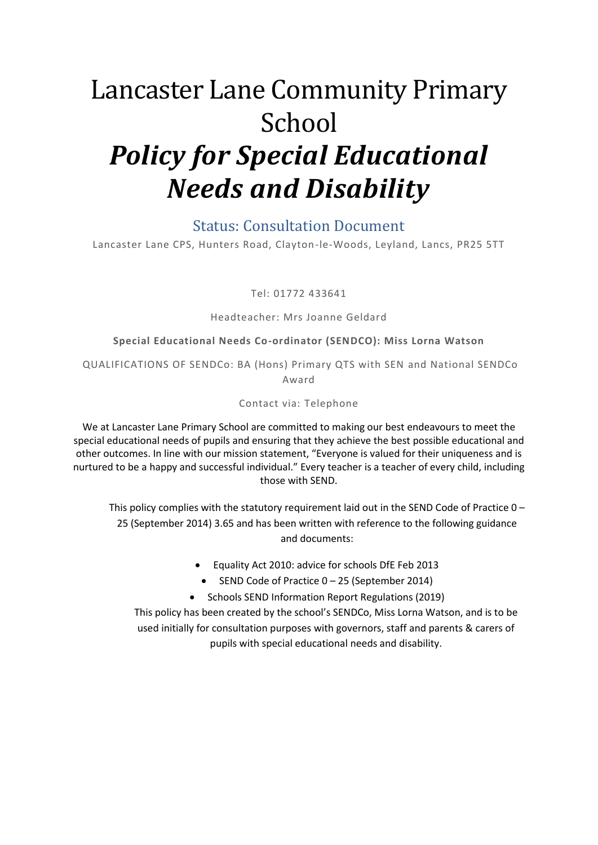# Lancaster Lane Community Primary School *Policy for Special Educational Needs and Disability*

#### Status: Consultation Document

Lancaster Lane CPS, Hunters Road, Clayton-le-Woods, Leyland, Lancs, PR25 5TT

Tel: 01772 433641

#### Headteacher: Mrs Joanne Geldard

#### **Special Educational Needs Co-ordinator (SENDCO): Miss Lorna Watson**

QUALIFICATIONS OF SENDCo: BA (Hons) Primary QTS with SEN and National SENDCo Award

#### Contact via: Telephone

We at Lancaster Lane Primary School are committed to making our best endeavours to meet the special educational needs of pupils and ensuring that they achieve the best possible educational and other outcomes. In line with our mission statement, "Everyone is valued for their uniqueness and is nurtured to be a happy and successful individual." Every teacher is a teacher of every child, including those with SEND.

This policy complies with the statutory requirement laid out in the SEND Code of Practice 0 – 25 (September 2014) 3.65 and has been written with reference to the following guidance and documents:

- Equality Act 2010: advice for schools DfE Feb 2013
- SEND Code of Practice 0 25 (September 2014)
- Schools SEND Information Report Regulations (2019)

This policy has been created by the school's SENDCo, Miss Lorna Watson, and is to be used initially for consultation purposes with governors, staff and parents & carers of pupils with special educational needs and disability.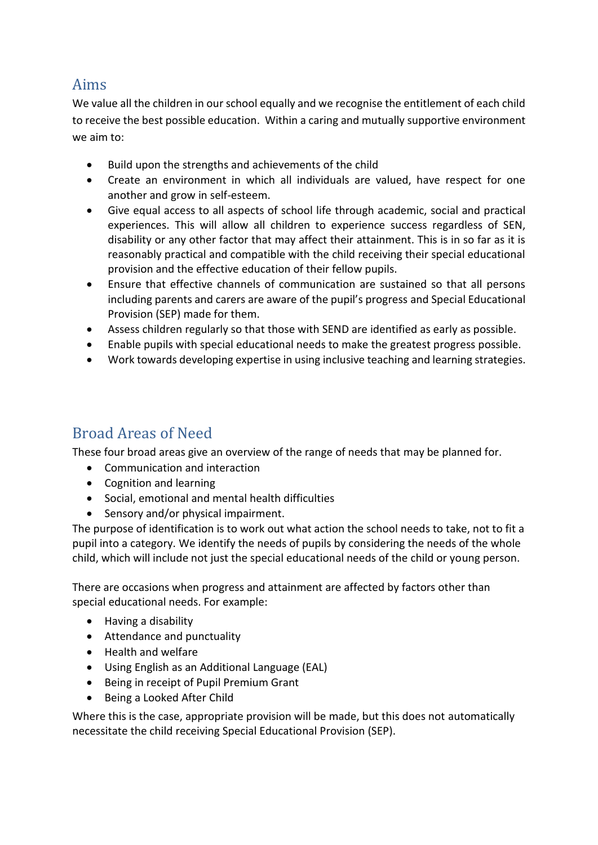### Aims

We value all the children in our school equally and we recognise the entitlement of each child to receive the best possible education. Within a caring and mutually supportive environment we aim to:

- Build upon the strengths and achievements of the child
- Create an environment in which all individuals are valued, have respect for one another and grow in self-esteem.
- Give equal access to all aspects of school life through academic, social and practical experiences. This will allow all children to experience success regardless of SEN, disability or any other factor that may affect their attainment. This is in so far as it is reasonably practical and compatible with the child receiving their special educational provision and the effective education of their fellow pupils.
- Ensure that effective channels of communication are sustained so that all persons including parents and carers are aware of the pupil's progress and Special Educational Provision (SEP) made for them.
- Assess children regularly so that those with SEND are identified as early as possible.
- Enable pupils with special educational needs to make the greatest progress possible.
- Work towards developing expertise in using inclusive teaching and learning strategies.

# Broad Areas of Need

These four broad areas give an overview of the range of needs that may be planned for.

- Communication and interaction
- Cognition and learning
- Social, emotional and mental health difficulties
- Sensory and/or physical impairment.

The purpose of identification is to work out what action the school needs to take, not to fit a pupil into a category. We identify the needs of pupils by considering the needs of the whole child, which will include not just the special educational needs of the child or young person.

There are occasions when progress and attainment are affected by factors other than special educational needs. For example:

- Having a disability
- Attendance and punctuality
- Health and welfare
- Using English as an Additional Language (EAL)
- Being in receipt of Pupil Premium Grant
- Being a Looked After Child

Where this is the case, appropriate provision will be made, but this does not automatically necessitate the child receiving Special Educational Provision (SEP).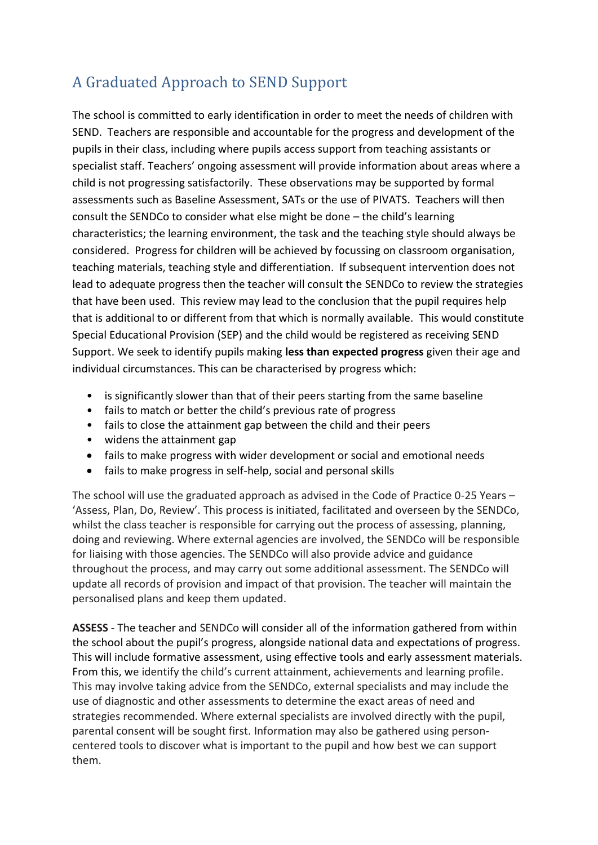# A Graduated Approach to SEND Support

The school is committed to early identification in order to meet the needs of children with SEND. Teachers are responsible and accountable for the progress and development of the pupils in their class, including where pupils access support from teaching assistants or specialist staff. Teachers' ongoing assessment will provide information about areas where a child is not progressing satisfactorily. These observations may be supported by formal assessments such as Baseline Assessment, SATs or the use of PIVATS. Teachers will then consult the SENDCo to consider what else might be done – the child's learning characteristics; the learning environment, the task and the teaching style should always be considered. Progress for children will be achieved by focussing on classroom organisation, teaching materials, teaching style and differentiation. If subsequent intervention does not lead to adequate progress then the teacher will consult the SENDCo to review the strategies that have been used. This review may lead to the conclusion that the pupil requires help that is additional to or different from that which is normally available. This would constitute Special Educational Provision (SEP) and the child would be registered as receiving SEND Support. We seek to identify pupils making **less than expected progress** given their age and individual circumstances. This can be characterised by progress which:

- is significantly slower than that of their peers starting from the same baseline
- fails to match or better the child's previous rate of progress
- fails to close the attainment gap between the child and their peers
- widens the attainment gap
- fails to make progress with wider development or social and emotional needs
- fails to make progress in self-help, social and personal skills

The school will use the graduated approach as advised in the Code of Practice 0-25 Years – 'Assess, Plan, Do, Review'. This process is initiated, facilitated and overseen by the SENDCo, whilst the class teacher is responsible for carrying out the process of assessing, planning, doing and reviewing. Where external agencies are involved, the SENDCo will be responsible for liaising with those agencies. The SENDCo will also provide advice and guidance throughout the process, and may carry out some additional assessment. The SENDCo will update all records of provision and impact of that provision. The teacher will maintain the personalised plans and keep them updated.

**ASSESS** - The teacher and SENDCo will consider all of the information gathered from within the school about the pupil's progress, alongside national data and expectations of progress. This will include formative assessment, using effective tools and early assessment materials. From this, we identify the child's current attainment, achievements and learning profile. This may involve taking advice from the SENDCo, external specialists and may include the use of diagnostic and other assessments to determine the exact areas of need and strategies recommended. Where external specialists are involved directly with the pupil, parental consent will be sought first. Information may also be gathered using personcentered tools to discover what is important to the pupil and how best we can support them.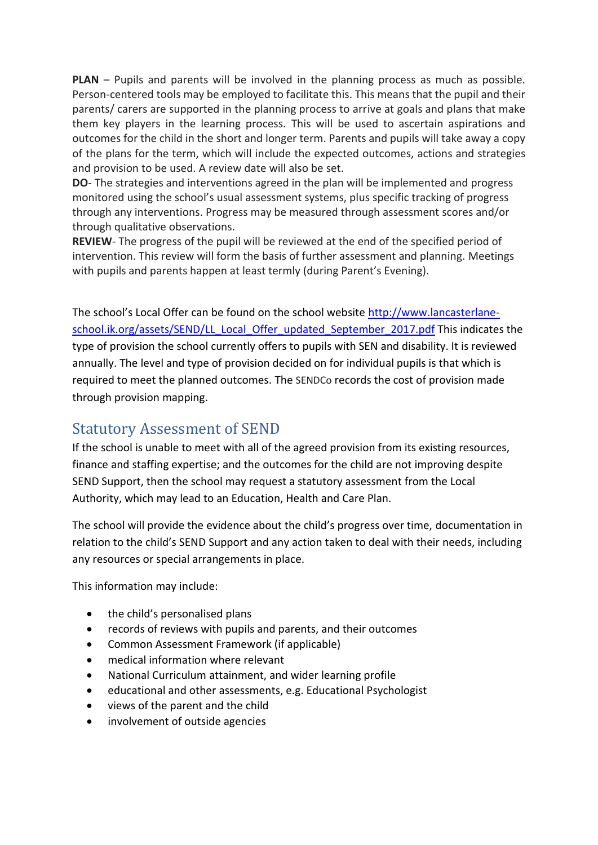**PLAN** – Pupils and parents will be involved in the planning process as much as possible. Person-centered tools may be employed to facilitate this. This means that the pupil and their parents/ carers are supported in the planning process to arrive at goals and plans that make them key players in the learning process. This will be used to ascertain aspirations and outcomes for the child in the short and longer term. Parents and pupils will take away a copy of the plans for the term, which will include the expected outcomes, actions and strategies and provision to be used. A review date will also be set.

**DO**- The strategies and interventions agreed in the plan will be implemented and progress monitored using the school's usual assessment systems, plus specific tracking of progress through any interventions. Progress may be measured through assessment scores and/or through qualitative observations.

**REVIEW**- The progress of the pupil will be reviewed at the end of the specified period of intervention. This review will form the basis of further assessment and planning. Meetings with pupils and parents happen at least termly (during Parent's Evening).

The school's Local Offer can be found on the school website [http://www.lancasterlane](http://www.lancasterlane-school.ik.org/assets/SEND/LL_Local_Offer_updated_September_2017.pdf)[school.ik.org/assets/SEND/LL\\_Local\\_Offer\\_updated\\_September\\_2017.pdf](http://www.lancasterlane-school.ik.org/assets/SEND/LL_Local_Offer_updated_September_2017.pdf) This indicates the type of provision the school currently offers to pupils with SEN and disability. It is reviewed annually. The level and type of provision decided on for individual pupils is that which is required to meet the planned outcomes. The SENDCo records the cost of provision made through provision mapping.

## Statutory Assessment of SEND

If the school is unable to meet with all of the agreed provision from its existing resources, finance and staffing expertise; and the outcomes for the child are not improving despite SEND Support, then the school may request a statutory assessment from the Local Authority, which may lead to an Education, Health and Care Plan.

The school will provide the evidence about the child's progress over time, documentation in relation to the child's SEND Support and any action taken to deal with their needs, including any resources or special arrangements in place.

This information may include:

- the child's personalised plans
- records of reviews with pupils and parents, and their outcomes
- Common Assessment Framework (if applicable)
- medical information where relevant
- National Curriculum attainment, and wider learning profile
- educational and other assessments, e.g. Educational Psychologist
- views of the parent and the child
- involvement of outside agencies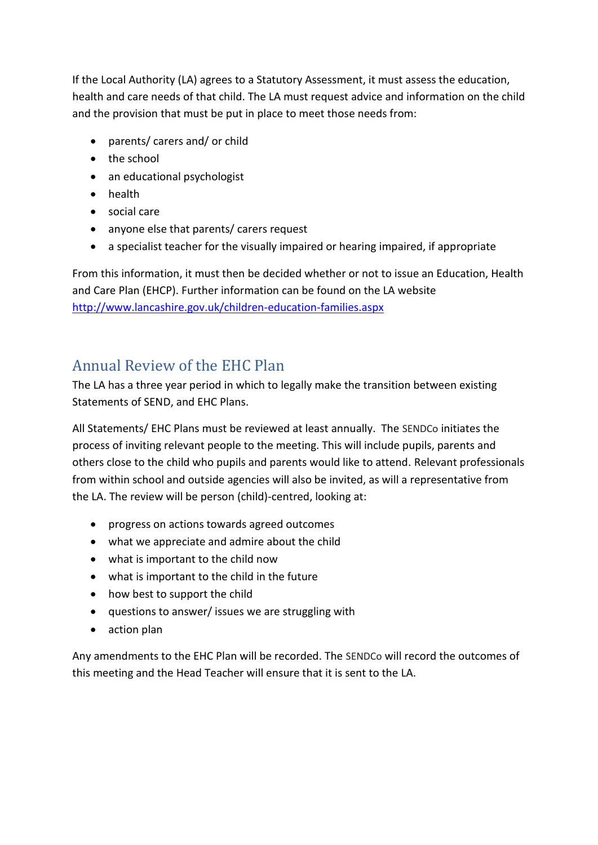If the Local Authority (LA) agrees to a Statutory Assessment, it must assess the education, health and care needs of that child. The LA must request advice and information on the child and the provision that must be put in place to meet those needs from:

- parents/ carers and/ or child
- the school
- an educational psychologist
- health
- social care
- anyone else that parents/ carers request
- a specialist teacher for the visually impaired or hearing impaired, if appropriate

From this information, it must then be decided whether or not to issue an Education, Health and Care Plan (EHCP). Further information can be found on the LA website <http://www.lancashire.gov.uk/children-education-families.aspx>

### Annual Review of the EHC Plan

The LA has a three year period in which to legally make the transition between existing Statements of SEND, and EHC Plans.

All Statements/ EHC Plans must be reviewed at least annually. The SENDCo initiates the process of inviting relevant people to the meeting. This will include pupils, parents and others close to the child who pupils and parents would like to attend. Relevant professionals from within school and outside agencies will also be invited, as will a representative from the LA. The review will be person (child)-centred, looking at:

- progress on actions towards agreed outcomes
- what we appreciate and admire about the child
- what is important to the child now
- what is important to the child in the future
- how best to support the child
- questions to answer/ issues we are struggling with
- action plan

Any amendments to the EHC Plan will be recorded. The SENDCo will record the outcomes of this meeting and the Head Teacher will ensure that it is sent to the LA.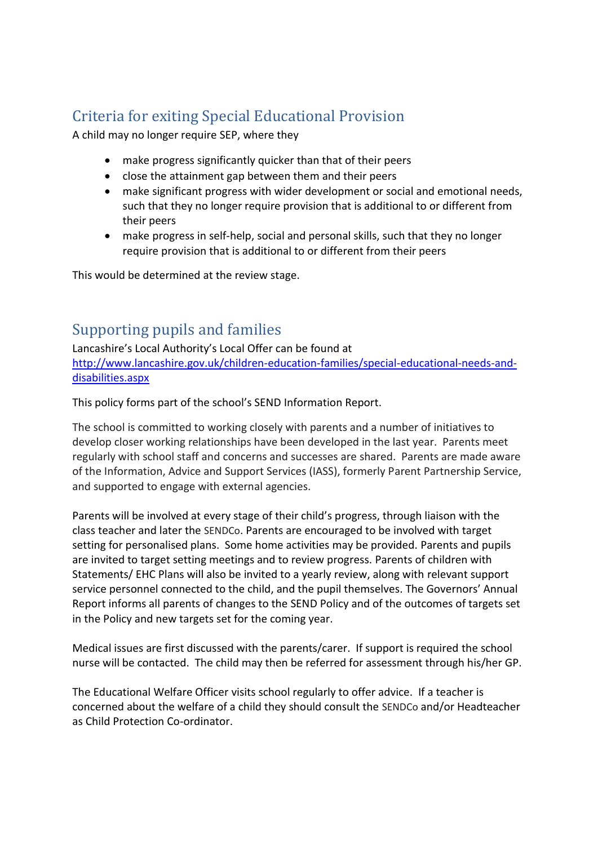# Criteria for exiting Special Educational Provision

A child may no longer require SEP, where they

- make progress significantly quicker than that of their peers
- close the attainment gap between them and their peers
- make significant progress with wider development or social and emotional needs, such that they no longer require provision that is additional to or different from their peers
- make progress in self-help, social and personal skills, such that they no longer require provision that is additional to or different from their peers

This would be determined at the review stage.

### Supporting pupils and families

Lancashire's Local Authority's Local Offer can be found at [http://www.lancashire.gov.uk/children-education-families/special-educational-needs-and](http://www.lancashire.gov.uk/children-education-families/special-educational-needs-and-disabilities.aspx)[disabilities.aspx](http://www.lancashire.gov.uk/children-education-families/special-educational-needs-and-disabilities.aspx)

This policy forms part of the school's SEND Information Report.

The school is committed to working closely with parents and a number of initiatives to develop closer working relationships have been developed in the last year. Parents meet regularly with school staff and concerns and successes are shared. Parents are made aware of the Information, Advice and Support Services (IASS), formerly Parent Partnership Service, and supported to engage with external agencies.

Parents will be involved at every stage of their child's progress, through liaison with the class teacher and later the SENDCo. Parents are encouraged to be involved with target setting for personalised plans. Some home activities may be provided. Parents and pupils are invited to target setting meetings and to review progress. Parents of children with Statements/ EHC Plans will also be invited to a yearly review, along with relevant support service personnel connected to the child, and the pupil themselves. The Governors' Annual Report informs all parents of changes to the SEND Policy and of the outcomes of targets set in the Policy and new targets set for the coming year.

Medical issues are first discussed with the parents/carer. If support is required the school nurse will be contacted. The child may then be referred for assessment through his/her GP.

The Educational Welfare Officer visits school regularly to offer advice. If a teacher is concerned about the welfare of a child they should consult the SENDCo and/or Headteacher as Child Protection Co-ordinator.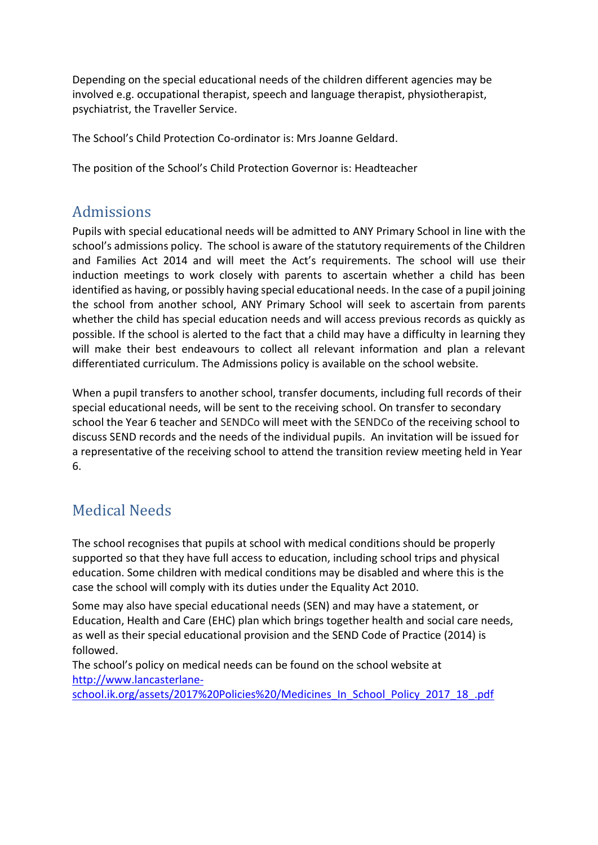Depending on the special educational needs of the children different agencies may be involved e.g. occupational therapist, speech and language therapist, physiotherapist, psychiatrist, the Traveller Service.

The School's Child Protection Co-ordinator is: Mrs Joanne Geldard.

The position of the School's Child Protection Governor is: Headteacher

# Admissions

Pupils with special educational needs will be admitted to ANY Primary School in line with the school's admissions policy. The school is aware of the statutory requirements of the Children and Families Act 2014 and will meet the Act's requirements. The school will use their induction meetings to work closely with parents to ascertain whether a child has been identified as having, or possibly having special educational needs. In the case of a pupil joining the school from another school, ANY Primary School will seek to ascertain from parents whether the child has special education needs and will access previous records as quickly as possible. If the school is alerted to the fact that a child may have a difficulty in learning they will make their best endeavours to collect all relevant information and plan a relevant differentiated curriculum. The Admissions policy is available on the school website.

When a pupil transfers to another school, transfer documents, including full records of their special educational needs, will be sent to the receiving school. On transfer to secondary school the Year 6 teacher and SENDCo will meet with the SENDCo of the receiving school to discuss SEND records and the needs of the individual pupils. An invitation will be issued for a representative of the receiving school to attend the transition review meeting held in Year 6.

# Medical Needs

The school recognises that pupils at school with medical conditions should be properly supported so that they have full access to education, including school trips and physical education. Some children with medical conditions may be disabled and where this is the case the school will comply with its duties under the Equality Act 2010.

Some may also have special educational needs (SEN) and may have a statement, or Education, Health and Care (EHC) plan which brings together health and social care needs, as well as their special educational provision and the SEND Code of Practice (2014) is followed.

The school's policy on medical needs can be found on the school website at [http://www.lancasterlane-](http://www.lancasterlane-school.ik.org/assets/2017%20Policies%20/Medicines_In_School_Policy_2017_18_.pdf)

[school.ik.org/assets/2017%20Policies%20/Medicines\\_In\\_School\\_Policy\\_2017\\_18\\_.pdf](http://www.lancasterlane-school.ik.org/assets/2017%20Policies%20/Medicines_In_School_Policy_2017_18_.pdf)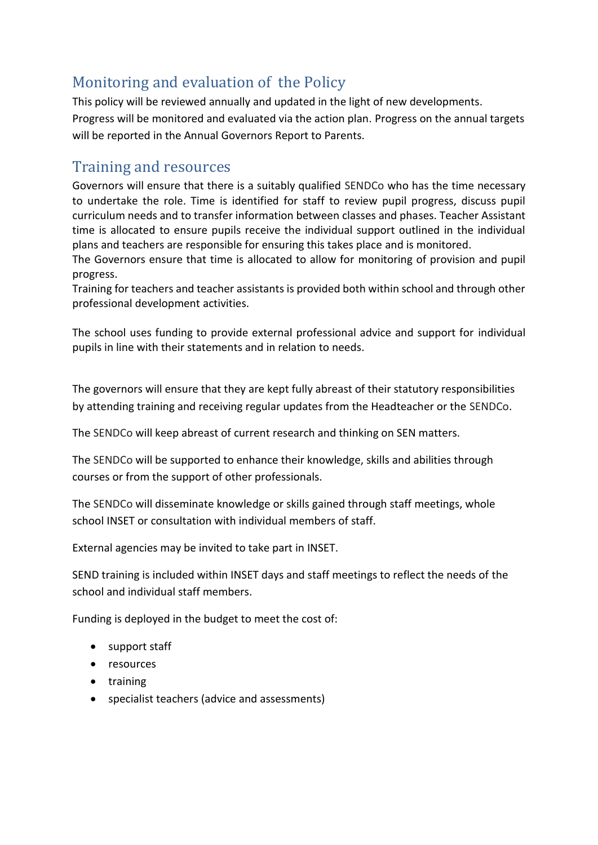# Monitoring and evaluation of the Policy

This policy will be reviewed annually and updated in the light of new developments. Progress will be monitored and evaluated via the action plan. Progress on the annual targets will be reported in the Annual Governors Report to Parents.

### Training and resources

Governors will ensure that there is a suitably qualified SENDCo who has the time necessary to undertake the role. Time is identified for staff to review pupil progress, discuss pupil curriculum needs and to transfer information between classes and phases. Teacher Assistant time is allocated to ensure pupils receive the individual support outlined in the individual plans and teachers are responsible for ensuring this takes place and is monitored.

The Governors ensure that time is allocated to allow for monitoring of provision and pupil progress.

Training for teachers and teacher assistants is provided both within school and through other professional development activities.

The school uses funding to provide external professional advice and support for individual pupils in line with their statements and in relation to needs.

The governors will ensure that they are kept fully abreast of their statutory responsibilities by attending training and receiving regular updates from the Headteacher or the SENDCo.

The SENDCo will keep abreast of current research and thinking on SEN matters.

The SENDCo will be supported to enhance their knowledge, skills and abilities through courses or from the support of other professionals.

The SENDCo will disseminate knowledge or skills gained through staff meetings, whole school INSET or consultation with individual members of staff.

External agencies may be invited to take part in INSET.

SEND training is included within INSET days and staff meetings to reflect the needs of the school and individual staff members.

Funding is deployed in the budget to meet the cost of:

- support staff
- resources
- training
- specialist teachers (advice and assessments)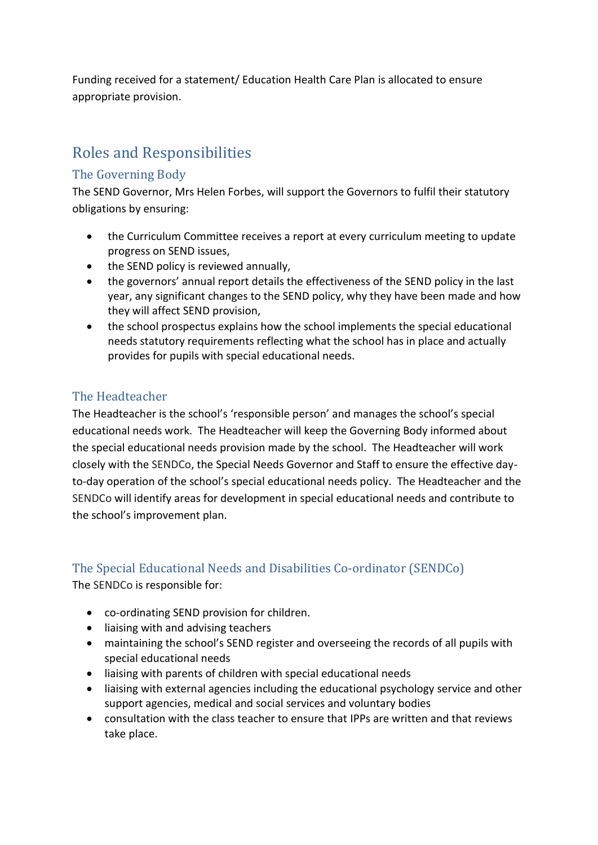Funding received for a statement/ Education Health Care Plan is allocated to ensure appropriate provision.

# Roles and Responsibilities

#### The Governing Body

The SEND Governor, Mrs Helen Forbes, will support the Governors to fulfil their statutory obligations by ensuring:

- the Curriculum Committee receives a report at every curriculum meeting to update progress on SEND issues,
- the SEND policy is reviewed annually,
- the governors' annual report details the effectiveness of the SEND policy in the last year, any significant changes to the SEND policy, why they have been made and how they will affect SEND provision,
- the school prospectus explains how the school implements the special educational needs statutory requirements reflecting what the school has in place and actually provides for pupils with special educational needs.

#### The Headteacher

The Headteacher is the school's 'responsible person' and manages the school's special educational needs work. The Headteacher will keep the Governing Body informed about the special educational needs provision made by the school. The Headteacher will work closely with the SENDCo, the Special Needs Governor and Staff to ensure the effective dayto-day operation of the school's special educational needs policy. The Headteacher and the SENDCo will identify areas for development in special educational needs and contribute to the school's improvement plan.

#### The Special Educational Needs and Disabilities Co-ordinator (SENDCo)

The SENDCo is responsible for:

- co-ordinating SEND provision for children.
- liaising with and advising teachers
- maintaining the school's SEND register and overseeing the records of all pupils with special educational needs
- liaising with parents of children with special educational needs
- liaising with external agencies including the educational psychology service and other support agencies, medical and social services and voluntary bodies
- consultation with the class teacher to ensure that IPPs are written and that reviews take place.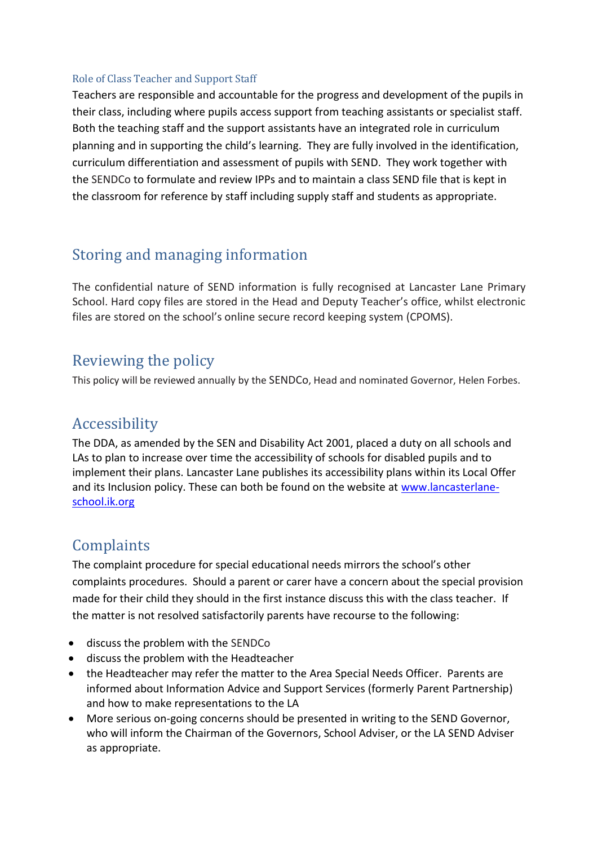#### Role of Class Teacher and Support Staff

Teachers are responsible and accountable for the progress and development of the pupils in their class, including where pupils access support from teaching assistants or specialist staff. Both the teaching staff and the support assistants have an integrated role in curriculum planning and in supporting the child's learning. They are fully involved in the identification, curriculum differentiation and assessment of pupils with SEND. They work together with the SENDCo to formulate and review IPPs and to maintain a class SEND file that is kept in the classroom for reference by staff including supply staff and students as appropriate.

# Storing and managing information

The confidential nature of SEND information is fully recognised at Lancaster Lane Primary School. Hard copy files are stored in the Head and Deputy Teacher's office, whilst electronic files are stored on the school's online secure record keeping system (CPOMS).

### Reviewing the policy

This policy will be reviewed annually by the SENDCo, Head and nominated Governor, Helen Forbes.

### Accessibility

The DDA, as amended by the SEN and Disability Act 2001, placed a duty on all schools and LAs to plan to increase over time the accessibility of schools for disabled pupils and to implement their plans. Lancaster Lane publishes its accessibility plans within its Local Offer and its Inclusion policy. These can both be found on the website at [www.lancasterlane](http://www.lancasterlane-school.ik.org/)[school.ik.org](http://www.lancasterlane-school.ik.org/)

# **Complaints**

The complaint procedure for special educational needs mirrors the school's other complaints procedures. Should a parent or carer have a concern about the special provision made for their child they should in the first instance discuss this with the class teacher. If the matter is not resolved satisfactorily parents have recourse to the following:

- discuss the problem with the SENDCo
- discuss the problem with the Headteacher
- the Headteacher may refer the matter to the Area Special Needs Officer. Parents are informed about Information Advice and Support Services (formerly Parent Partnership) and how to make representations to the LA
- More serious on-going concerns should be presented in writing to the SEND Governor, who will inform the Chairman of the Governors, School Adviser, or the LA SEND Adviser as appropriate.